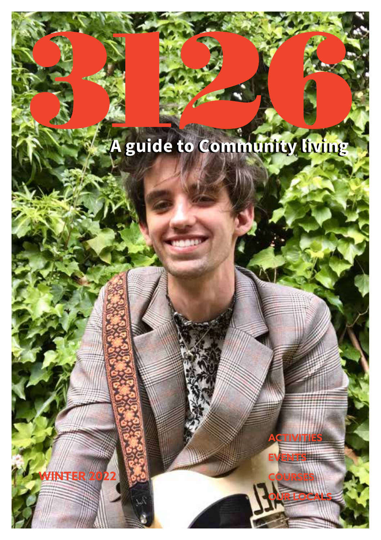# **A guide to Community living A guide to Community living**

CTIVITIE

**WINTER 2022**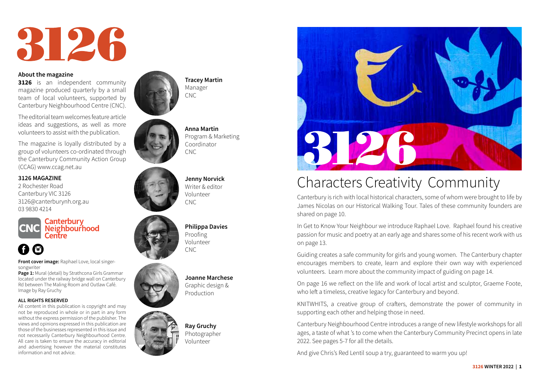

#### **About the magazine**

**3126** is an independent community magazine produced quarterly by a small team of local volunteers, supported by Canterbury Neighbourhood Centre (CNC).

The editorial team welcomes feature article ideas and suggestions, as well as more volunteers to assist with the publication.

The magazine is loyally distributed by a group of volunteers co-ordinated through the Canterbury Community Action Group (CCAG) www.ccag.net.au

### **3126 MAGAZINE**

2 Rochester Road Canterbury VIC 3126 3126@canterburynh.org.au 03 9830 4214



Canterbury **CNC** Neighbourhood

# $\bullet$

**Front cover image:** Raphael Love, local singersongwriter

**Page 1:** Mural (detail) by Strathcona Girls Grammar located under the railway bridge wall on Canterbury Rd between The Maling Room and Outlaw Café. Image by Ray Gruchy

#### **ALL RIGHTS RESERVED**

All content in this publication is copyright and may not be reproduced in whole or in part in any form without the express permission of the publisher. The views and opinions expressed in this publication are those of the businesses represented in this issue and not necessarily Canterbury Neighbourhood Centre. All care is taken to ensure the accuracy in editorial and advertising however the material constitutes information and not advice.



**Tracey Martin** Manager CNC



**Anna Martin** Program & Marketing Coordinator CNC

**Jenny Norvick** Writer & editor Volunteer CNC





**Joanne Marchese** Graphic design & Production





# Characters Creativity Community

Canterbury is rich with local historical characters, some of whom were brought to life by James Nicolas on our Historical Walking Tour. Tales of these community founders are shared on page 10.

In Get to Know Your Neighbour we introduce Raphael Love. Raphael found his creative passion for music and poetry at an early age and shares some of his recent work with us on page 13.

Guiding creates a safe community for girls and young women. The Canterbury chapter encourages members to create, learn and explore their own way with experienced volunteers. Learn more about the community impact of guiding on page 14.

On page 16 we reflect on the life and work of local artist and sculptor, Graeme Foote, who left a timeless, creative legacy for Canterbury and beyond.

KNITWHITS, a creative group of crafters, demonstrate the power of community in supporting each other and helping those in need.

Canterbury Neighbourhood Centre introduces a range of new lifestyle workshops for all ages, a taste of what 's to come when the Canterbury Community Precinct opens in late 2022. See pages 5-7 for all the details.

And give Chris's Red Lentil soup a try, guaranteed to warm you up!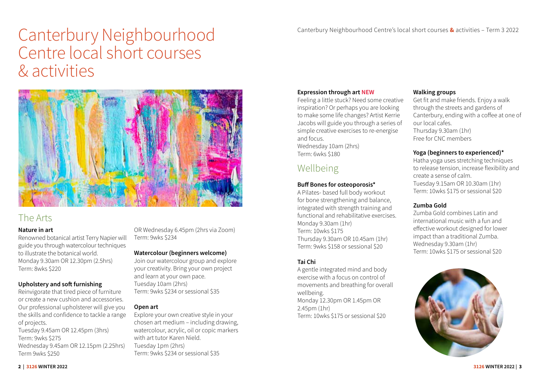# Canterbury Neighbourhood Centre local short courses & activities



# The Arts

# **Nature in art**

Renowned botanical artist Terry Napier will guide you through watercolour techniques to illustrate the botanical world. Monday 9.30am OR 12.30pm (2.5hrs) Term: 8wks \$220

# **Upholstery and soft furnishing**

Reinvigorate that tired piece of furniture or create a new cushion and accessories. Our professional upholsterer will give you the skills and confidence to tackle a range of projects. Tuesday 9.45am OR 12.45pm (3hrs)

Term: 9wks \$275 Wednesday 9.45am OR 12.15pm (2.25hrs) Term 9wks \$250

OR Wednesday 6.45pm (2hrs via Zoom) Term: 9wks \$234

# **Watercolour (beginners welcome)**

Join our watercolour group and explore your creativity. Bring your own project and learn at your own pace. Tuesday 10am (2hrs) Term: 9wks \$234 or sessional \$35

# **Open art**

Explore your own creative style in your chosen art medium – including drawing, watercolour, acrylic, oil or copic markers with art tutor Karen Nield. Tuesday 1pm (2hrs) Term: 9wks \$234 or sessional \$35

# **Expression through art NEW**

Feeling a little stuck? Need some creative inspiration? Or perhaps you are looking to make some life changes? Artist Kerrie Jacobs will guide you through a series of simple creative exercises to re-energise and focus.

Wednesday 10am (2hrs) Term: 6wks \$180

# Wellbeing

### **Buff Bones for osteoporosis\***

A Pilates- based full body workout for bone strengthening and balance, integrated with strength training and functional and rehabilitative exercises. Monday 9.30am (1hr) Term: 10wks \$175 Thursday 9.30am OR 10.45am (1hr) Term: 9wks \$158 or sessional \$20

# **Tai Chi**

A gentle integrated mind and body exercise with a focus on control of movements and breathing for overall wellbeing. Monday 12.30pm OR 1.45pm OR 2.45pm (1hr) Term: 10wks \$175 or sessional \$20

## **Walking groups**

Get fit and make friends. Enjoy a walk through the streets and gardens of Canterbury, ending with a coffee at one of our local cafes. Thursday 9.30am (1hr) Free for CNC members

# **Yoga (beginners to experienced)\***

Hatha yoga uses stretching techniques to release tension, increase flexibility and create a sense of calm. Tuesday 9.15am OR 10.30am (1hr) Term: 10wks \$175 or sessional \$20

# **Zumba Gold**

Zumba Gold combines Latin and international music with a fun and effective workout designed for lower impact than a traditional Zumba. Wednesday 9.30am (1hr) Term: 10wks \$175 or sessional \$20

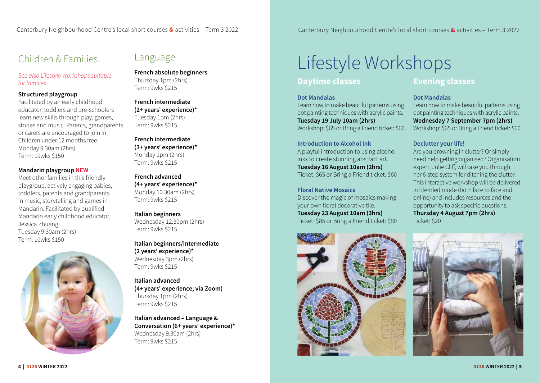# Children & Families

*See also Lifestyle Workshops suitable for families*

# **Structured playgroup**

Facilitated by an early childhood educator, toddlers and pre-schoolers learn new skills through play, games, stories and music. Parents, grandparents or carers are encouraged to join in. Children under 12 months free. Monday 9.30am (2hrs) Term: 10wks \$150

# **Mandarin playgroup NEW**

Meet other families in this friendly playgroup, actively engaging babies, toddlers, parents and grandparents in music, storytelling and games in Mandarin. Facilitated by qualified Mandarin early childhood educator, Jessica Zhuang. Tuesday 9.30am (2hrs) Term: 10wks \$150



# Language

**French absolute beginners** Thursday 1pm (2hrs) Term: 9wks \$215

# **French intermediate (2+ years' experience)\*** Tuesday 1pm (2hrs) Term: 9wks \$215

**French intermediate (3+ years' experience)\*** Monday 1pm (2hrs) Term: 9wks \$215

#### **French advanced (4+ years' experience)\*** Monday 10.30am (2hrs) Term: 9wks \$215

# **Italian beginners**

Wednesday 12.30pm (2hrs) Term: 9wks \$215

**Italian beginners/intermediate (2 years' experience)\***  Wednesday 3pm (2hrs) Term: 9wks \$215

**Italian advanced (4+ years' experience; via Zoom)** Thursday 1pm (2hrs) Term: 9wks \$215

**Italian advanced – Language & Conversation (6+ years' experience)\***  Wednesday 9.30am (2hrs) Term: 9wks \$215

# Lifestyle Workshops

# **Daytime classes**

#### **Dot Mandalas**

Learn how to make beautiful patterns using dot painting techniques with acrylic paints. **Tuesday 19 July 10am (2hrs)**  Workshop: \$65 or Bring a Friend ticket: \$60

**Introduction to Alcohol Ink**  A playful introduction to using alcohol inks to create stunning abstract art. **Tuesday 16 August 10am (2hrs)** Ticket: \$65 or Bring a Friend ticket: \$60

**Floral Native Mosaics** Discover the magic of mosaics making your own floral decorative tile. **Tuesday 23 August 10am (3hrs)** Ticket: \$85 or Bring a Friend ticket: \$80



# **Evening classes**

### **Dot Mandalas**

Learn how to make beautiful patterns using dot painting techniques with acrylic paints. **Wednesday 7 September 7pm (2hrs)**  Workshop: \$65 or Bring a Friend ticket: \$60

# **Declutter your life!**

Are you drowning in clutter? Or simply need help getting organised? Organisation expert, Julie Cliff, will take you through her 6-step system for ditching the clutter. This interactive workshop will be delivered in blended mode (both face to face and online) and includes resources and the opportunity to ask specific questions. **Thursday 4 August 7pm (2hrs)** Ticket: \$20

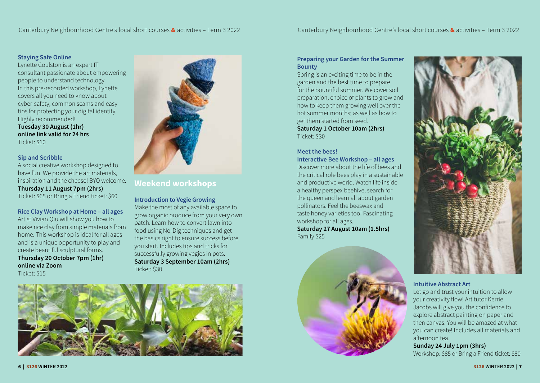# **Staying Safe Online**

Lynette Coulston is an expert IT consultant passionate about empowering people to understand technology. In this pre-recorded workshop, Lynette covers all you need to know about cyber-safety, common scams and easy tips for protecting your digital identity. Highly recommended! **Tuesday 30 August (1hr)**

**online link valid for 24 hrs** Ticket: \$10

# **Sip and Scribble**

A social creative workshop designed to have fun. We provide the art materials, inspiration and the cheese! BYO welcome. **Thursday 11 August 7pm (2hrs)** Ticket: \$65 or Bring a Friend ticket: \$60

**Rice Clay Workshop at Home – all ages** Artist Vivian Qiu will show you how to make rice clay from simple materials from home. This workshop is ideal for all ages and is a unique opportunity to play and create beautiful sculptural forms. **Thursday 20 October 7pm (1hr) online via Zoom** Ticket: \$15



# **Weekend workshops**

**Introduction to Vegie Growing**  Make the most of any available space to grow organic produce from your very own patch. Learn how to convert lawn into food using No-Dig techniques and get the basics right to ensure success before you start. Includes tips and tricks for successfully growing vegies in pots. **Saturday 3 September 10am (2hrs)** Ticket: \$30



# **Preparing your Garden for the Summer Bounty**

Spring is an exciting time to be in the garden and the best time to prepare for the bountiful summer. We cover soil preparation, choice of plants to grow and how to keep them growing well over the hot summer months; as well as how to get them started from seed. **Saturday 1 October 10am (2hrs)** Ticket: \$30

# **Meet the bees!**

**Interactive Bee Workshop – all ages** Discover more about the life of bees and the critical role bees play in a sustainable and productive world. Watch life inside a healthy perspex beehive, search for the queen and learn all about garden pollinators. Feel the beeswax and taste honey varieties too! Fascinating workshop for all ages. **Saturday 27 August 10am (1.5hrs)** Family \$25





# **Intuitive Abstract Art**

Let go and trust your intuition to allow your creativity flow! Art tutor Kerrie Jacobs will give you the confidence to explore abstract painting on paper and then canvas. You will be amazed at what you can create! Includes all materials and afternoon tea.

#### **Sunday 24 July 1pm (3hrs)**

Workshop: \$85 or Bring a Friend ticket: \$80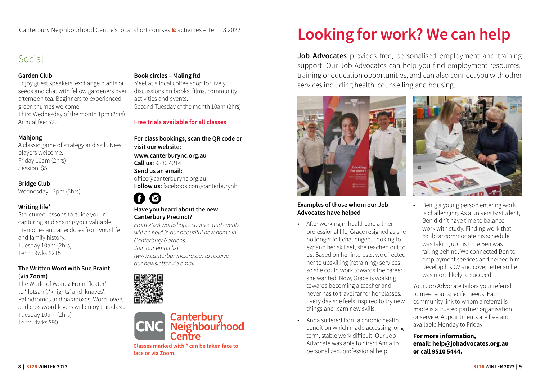# Social

# **Garden Club**

Enjoy guest speakers, exchange plants or seeds and chat with fellow gardeners over afternoon tea. Beginners to experienced green thumbs welcome. Third Wednesday of the month 1pm (2hrs) Annual fee: \$20

# **Mahjong**

A classic game of strategy and skill. New players welcome. Friday 10am (2hrs) Session: \$5

# **Bridge Club**

Wednesday 12pm (5hrs)

# **Writing life\***

Structured lessons to guide you in capturing and sharing your valuable memories and anecdotes from your life and family history. Tuesday 10am (2hrs) Term: 9wks \$215

# **The Written Word with Sue Braint (via Zoom)**

The World of Words: From 'floater' to 'flotsam', 'knights' and 'knaves'. Palindromes and paradoxes. Word lovers and crossword lovers will enjoy this class. Tuesday 10am (2hrs) Term: 4wks \$90

# **Book circles – Maling Rd**

Meet at a local coffee shop for lively discussions on books, films, community activities and events. Second Tuesday of the month 10am (2hrs)

**Free trials available for all classes**

**For class bookings, scan the QR code or visit our website: www.canterburync.org.au Call us:** 9830 4214 **Send us an email:**  office@canterburync.org.au **Follow us:** facebook.com/canterburynh

#### A  $\bullet$ **Have you heard about the new Canterbury Precinct?**

*From 2023 workshops, courses and events will be held in our beautiful new home in Canterbury Gardens. Join our email list [\(www.canterburync.org.au\)](http://www.canterburynh.org.au) to receive our newsletter via email.*





**Classes marked with \* can be taken face to face or via Zoom.** 

# **Looking for work? We can help**

**Job Advocates** provides free, personalised employment and training support. Our Job Advocates can help you find employment resources, training or education opportunities, and can also connect you with other services including health, counselling and housing.



# **Examples of those whom our Job Advocates have helped**

- After working in healthcare all her professional life, Grace resigned as she no longer felt challenged. Looking to expand her skillset, she reached out to us. Based on her interests, we directed her to upskilling (retraining) services so she could work towards the career she wanted. Now, Grace is working towards becoming a teacher and never has to travel far for her classes. Every day she feels inspired to try new things and learn new skills.
- Anna suffered from a chronic health condition which made accessing long term, stable work difficult. Our Job Advocate was able to direct Anna to personalized, professional help.



• Being a young person entering work is challenging. As a university student, Ben didn't have time to balance work with study. Finding work that could accommodate his schedule was taking up his time Ben was falling behind. We connected Ben to employment services and helped him develop his CV and cover letter so he was more likely to succeed.

Your Job Advocate tailors your referral to meet your specific needs. Each community link to whom a referral is made is a trusted partner organisation or service. Appointments are free and available Monday to Friday.

# **For more information, email: help@jobadvocates.org.au or call 9510 5444.**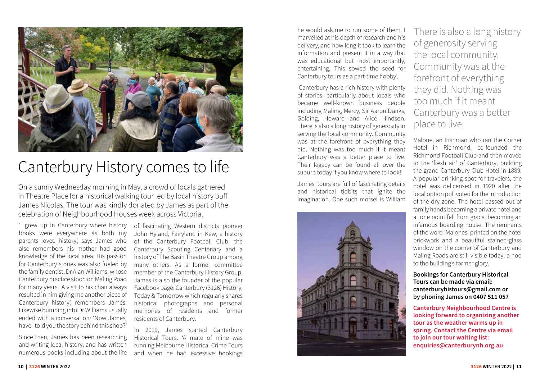

# Canterbury History comes to life

On a sunny Wednesday morning in May, a crowd of locals gathered in Theatre Place for a historical walking tour led by local history buff James Nicolas. The tour was kindly donated by James as part of the celebration of Neighbourhood Houses week across Victoria.

'I grew up in Canterbury where history books were everywhere as both my parents loved history', says James who also remembers his mother had good knowledge of the local area. His passion for Canterbury stories was also fueled by the family dentist, Dr Alan Williams, whose Canterbury practice stood on Maling Road for many years. 'A visit to his chair always resulted in him giving me another piece of Canterbury history', remembers James. Likewise bumping into Dr Williams usually ended with a conversation: 'Now James, have I told you the story behind this shop?'

Since then, James has been researching and writing local history, and has written numerous books including about the life of fascinating Western districts pioneer John Hyland, Fairyland in Kew, a history of the Canterbury Football Club, the Canterbury Scouting Centenary and a history of The Basin Theatre Group among many others. As a former committee member of the Canterbury History Group, James is also the founder of the popular Facebook page: Canterbury (3126) History, Today & Tomorrow which regularly shares historical photographs and personal memories of residents and former residents of Canterbury.

In 2019, James started Canterbury Historical Tours. 'A mate of mine was running Melbourne Historical Crime Tours and when he had excessive bookings

he would ask me to run some of them. I marvelled at his depth of research and his delivery, and how long it took to learn the information and present it in a way that was educational but most importantly, entertaining. This sowed the seed for Canterbury tours as a part-time hobby'.

'Canterbury has a rich history with plenty of stories, particularly about locals who became well-known business people including Maling, Mercy, Sir Aaron Danks, Golding, Howard and Alice Hindson. There is also a long history of generosity in serving the local community. Community was at the forefront of everything they did. Nothing was too much if it meant Canterbury was a better place to live. Their legacy can be found all over the suburb today if you know where to look!'

James' tours are full of fascinating details and historical tidbits that ignite the imagination. One such morsel is William



There is also a long history of generosity serving the local community. Community was at the forefront of everything they did. Nothing was too much if it meant Canterbury was a better place to live.

Malone, an Irishman who ran the Corner Hotel in Richmond, co-founded the Richmond Football Club and then moved to the 'fresh air' of Canterbury, building the grand Canterbury Club Hotel in 1889. A popular drinking spot for travelers, the hotel was delicensed in 1920 after the local option poll voted for the introduction of the dry zone. The hotel passed out of family hands becoming a private hotel and at one point fell from grace, becoming an infamous boarding house. The remnants of the word 'Malones' printed on the hotel brickwork and a beautiful stained-glass window on the corner of Canterbury and Maling Roads are still visible today; a nod to the building's former glory.

#### **Bookings for Canterbury Historical Tours can be made via email: canterburyhistours@gmail.com or by phoning James on 0407 511 057**

**Canterbury Neighbourhood Centre is looking forward to organizing another tour as the weather warms up in spring. Contact the Centre via email to join our tour waiting list: enquiries@canterburynh.org.au**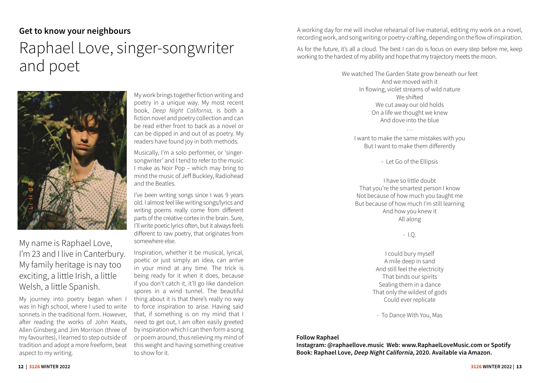# **Get to know your neighbours**

# Raphael Love, singer-songwriter and poet



My name is Raphael Love, I'm 23 and I live in Canterbury. My family heritage is nay too exciting, a little Irish, a little Welsh, a little Spanish.

My journey into poetry began when I was in high school, where I used to write sonnets in the traditional form. However, after reading the works of John Keats, Allen Ginsberg and Jim Morrison (three of my favourites), I learned to step outside of tradition and adopt a more freeform, beat aspect to my writing.

My work brings together fiction writing and poetry in a unique way. My most recent book, *Deep Night California,* is both a fiction novel and poetry collection and can be read either front to back as a novel or can be dipped in and out of as poetry. My readers have found joy in both methods.

Musically, I'm a solo performer, or 'singersongwriter' and I tend to refer to the music I make as Noir Pop – which may bring to mind the music of Jeff Buckley, Radiohead and the Beatles.

I've been writing songs since I was 9 years old. I almost feel like writing songs/lyrics and writing poems really come from different parts of the creative cortex in the brain. Sure, I'll write poetic lyrics often, but it always feels different to raw poetry, that originates from somewhere else.

Inspiration, whether it be musical, lyrical, poetic or just simply an idea, can arrive in your mind at any time. The trick is being ready for it when it does, because if you don't catch it, it'll go like dandelion spores in a wind tunnel. The beautiful thing about it is that there's really no way to force inspiration to arise. Having said that, if something is on my mind that I need to get out, I am often easily greeted by inspiration which I can then form a song or poem around, thus relieving my mind of this weight and having something creative to show for it.

A working day for me will involve rehearsal of live material, editing my work on a novel, recording work, and song writing or poetry-crafting, depending on the flow of inspiration.

As for the future, it's all a cloud. The best I can do is focus on every step before me, keep working to the hardest of my ability and hope that my trajectory meets the moon.

> We watched The Garden State grow beneath our feet And we moved with it In flowing, violet streams of wild nature We shifted We cut away our old holds On a life we thought we knew And dove into the blue

I want to make the same mistakes with you But I want to make them differently

…

- Let Go of the Ellipsis

I have so little doubt That you're the smartest person I know Not because of how much you taught me But because of how much I'm still learning And how you knew it All along

# - I.Q.

I could bury myself A mile deep in sand And still feel the electricity That binds our spirits Sealing them in a dance That only the wildest of gods Could ever replicate

- To Dance With You, Mas

#### **Follow Raphael**

**Instagram: @raphaellove.music Web: www.RaphaelLoveMusic.com or Spotify Book: Raphael Love, Deep Night California, 2020. Available via Amazon.**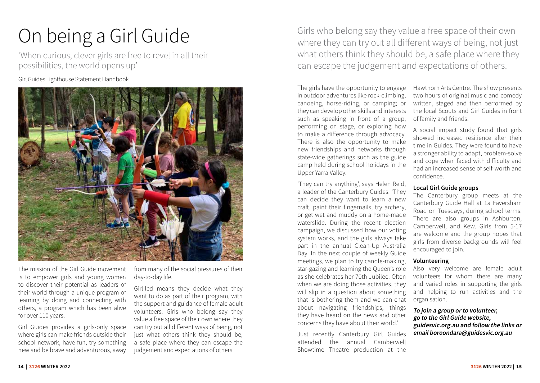# On being a Girl Guide

'When curious, clever girls are free to revel in all their possibilities, the world opens up'

Girl Guides Lighthouse Statement Handbook



The mission of the Girl Guide movement is to empower girls and young women to discover their potential as leaders of their world through a unique program of learning by doing and connecting with others, a program which has been alive for over 110 years.

Girl Guides provides a girls-only space where girls can make friends outside their school network, have fun, try something new and be brave and adventurous, away from many of the social pressures of their day-to-day life.

Girl-led means they decide what they want to do as part of their program, with the support and guidance of female adult volunteers. Girls who belong say they value a free space of their own where they can try out all different ways of being, not just what others think they should be, a safe place where they can escape the judgement and expectations of others.

Girls who belong say they value a free space of their own where they can try out all different ways of being, not just what others think they should be, a safe place where they can escape the judgement and expectations of others.

The girls have the opportunity to engage in outdoor adventures like rock-climbing, canoeing, horse-riding, or camping; or they can develop other skills and interests such as speaking in front of a group, performing on stage, or exploring how to make a difference through advocacy. There is also the opportunity to make new friendships and networks through state-wide gatherings such as the guide camp held during school holidays in the Upper Yarra Valley.

'They can try anything', says Helen Reid, a leader of the Canterbury Guides. 'They can decide they want to learn a new craft, paint their fingernails, try archery, or get wet and muddy on a home-made waterslide. During the recent election campaign, we discussed how our voting system works, and the girls always take part in the annual Clean-Up Australia Day. In the next couple of weekly Guide meetings, we plan to try candle-making, star-gazing and learning the Queen's role as she celebrates her 70th Jubilee. Often when we are doing those activities, they will slip in a question about something that is bothering them and we can chat about navigating friendships, things they have heard on the news and other concerns they have about their world.'

Just recently Canterbury Girl Guides attended the annual Camberwell Showtime Theatre production at the

Hawthorn Arts Centre. The show presents two hours of original music and comedy written, staged and then performed by the local Scouts and Girl Guides in front of family and friends.

A social impact study found that girls showed increased resilience after their time in Guides. They were found to have a stronger ability to adapt, problem-solve and cope when faced with difficulty and had an increased sense of self-worth and confidence.

### **Local Girl Guide groups**

The Canterbury group meets at the Canterbury Guide Hall at 1a Faversham Road on Tuesdays, during school terms. There are also groups in Ashburton, Camberwell, and Kew. Girls from 5-17 are welcome and the group hopes that girls from diverse backgrounds will feel encouraged to join.

#### **Volunteering**

Also very welcome are female adult volunteers for whom there are many and varied roles in supporting the girls and helping to run activities and the organisation.

**To join a group or to volunteer, go to the Girl Guide website, guidesvic.org.au and follow the links or email boroondara@guidesvic.org.au**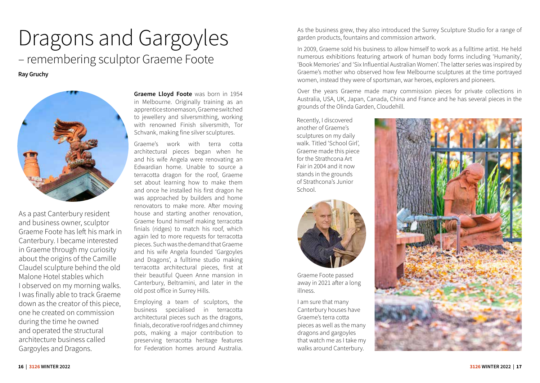# Dragons and Gargoyles – remembering sculptor Graeme Foote

**Ray Gruchy**



As a past Canterbury resident and business owner, sculptor Graeme Foote has left his mark in Canterbury. I became interested in Graeme through my curiosity about the origins of the Camille Claudel sculpture behind the old Malone Hotel stables which I observed on my morning walks. I was finally able to track Graeme down as the creator of this piece, one he created on commission during the time he owned and operated the structural architecture business called Gargoyles and Dragons.

**Graeme Lloyd Foote** was born in 1954 in Melbourne. Originally training as an apprentice stonemason, Graeme switched to jewellery and silversmithing, working with renowned Finish silversmith, Tor Schvank, making fine silver sculptures.

Graeme's work with terra cotta architectural pieces began when he and his wife Angela were renovating an Edwardian home. Unable to source a terracotta dragon for the roof, Graeme set about learning how to make them and once he installed his first dragon he was approached by builders and home renovators to make more. After moving house and starting another renovation, Graeme found himself making terracotta finials (ridges) to match his roof, which again led to more requests for terracotta pieces. Such was the demand that Graeme and his wife Angela founded 'Gargoyles and Dragons', a fulltime studio making terracotta architectural pieces, first at their beautiful Queen Anne mansion in Canterbury, Beltramini, and later in the old post office in Surrey Hills.

Employing a team of sculptors, the business specialised in terracotta architectural pieces such as the dragons, finials, decorative roof ridges and chimney pots, making a major contribution to preserving terracotta heritage features for Federation homes around Australia.

As the business grew, they also introduced the Surrey Sculpture Studio for a range of garden products, fountains and commission artwork.

In 2009, Graeme sold his business to allow himself to work as a fulltime artist. He held numerous exhibitions featuring artwork of human body forms including 'Humanity', 'Book Memories' and 'Six Influential Australian Women'. The latter series was inspired by Graeme's mother who observed how few Melbourne sculptures at the time portrayed women, instead they were of sportsman, war heroes, explorers and pioneers.

Over the years Graeme made many commission pieces for private collections in Australia, USA, UK, Japan, Canada, China and France and he has several pieces in the grounds of the Olinda Garden, Cloudehill.

Recently, I discovered another of Graeme's sculptures on my daily walk. Titled 'School Girl', Graeme made this piece for the Strathcona Art Fair in 2004 and it now stands in the grounds of Strathcona's Junior School.



Graeme Foote passed away in 2021 after a long illness.

I am sure that many Canterbury houses have Graeme's terra cotta pieces as well as the many dragons and gargoyles that watch me as I take my walks around Canterbury.

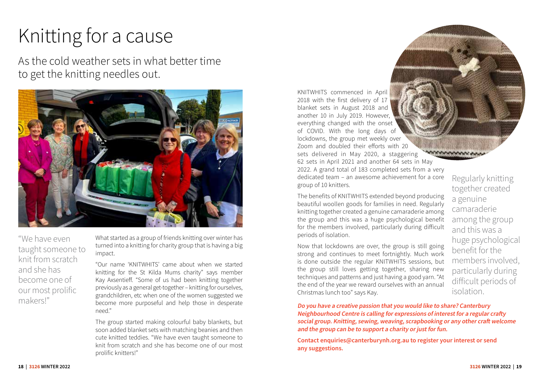# Knitting for a cause

As the cold weather sets in what better time to get the knitting needles out.



"We have even taught someone to knit from scratch and she has become one of our most prolific<br>makers!"

What started as a group of friends knitting over winter has turned into a knitting for charity group that is having a big impact.

"Our name 'KNITWHITS' came about when we started knitting for the St Kilda Mums charity" says member Kay Axsentieff. "Some of us had been knitting together previously as a general get-together – knitting for ourselves, grandchildren, etc when one of the women suggested we become more purposeful and help those in desperate need."

The group started making colourful baby blankets, but soon added blanket sets with matching beanies and then cute knitted teddies. "We have even taught someone to knit from scratch and she has become one of our most prolific knitters!"

KNITWHITS commenced in April 2018 with the first delivery of 17 blanket sets in August 2018 and another 10 in July 2019. However, everything changed with the onset of COVID. With the long days of lockdowns, the group met weekly over Zoom and doubled their efforts with 20 sets delivered in May 2020, a staggering 62 sets in April 2021 and another 64 sets in May 2022. A grand total of 183 completed sets from a very dedicated team – an awesome achievement for a core group of 10 knitters.

The benefits of KNITWHITS extended beyond producing beautiful woollen goods for families in need. Regularly knitting together created a genuine camaraderie among the group and this was a huge psychological benefit for the members involved, particularly during difficult periods of isolation.

Now that lockdowns are over, the group is still going strong and continues to meet fortnightly. Much work is done outside the regular KNITWHITS sessions, but the group still loves getting together, sharing new techniques and patterns and just having a good yarn. "At the end of the year we reward ourselves with an annual Christmas lunch too" says Kay.

Regularly knitting together created a genuine camaraderie among the group and this was a huge psychological benefit for the members involved, particularly during difficult periods of isolation.

makers!" **Do you have a creative passion that you would like to share? Canterbury Neighbourhood Centre is calling for expressions of interest for a regular crafty social group. Knitting, sewing, weaving, scrapbooking or any other craft welcome and the group can be to support a charity or just for fun.** 

**Contact enquiries@canterburynh.org.au to register your interest or send any suggestions.**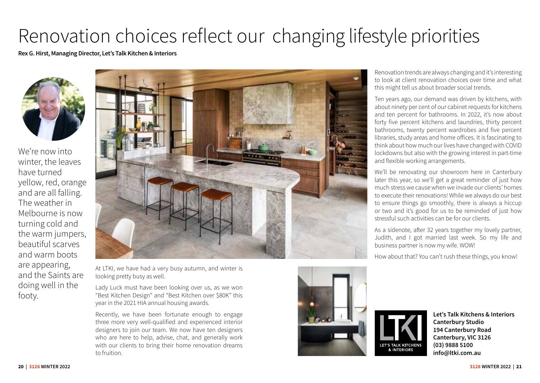# Renovation choices reflect our changing lifestyle priorities

**Rex G. Hirst, Managing Director, Let's Talk Kitchen & Interiors** 



We're now into winter, the leaves have turned yellow, red, orange and are all falling. The weather in Melbourne is now turning cold and the warm jumpers, beautiful scarves and warm boots are appearing, and the Saints are doing well in the footy.



At LTKI, we have had a very busy autumn, and winter is looking pretty busy as well.

Lady Luck must have been looking over us, as we won "Best Kitchen Design" and "Best Kitchen over \$80K" this year in the 2021 HIA annual housing awards.

Recently, we have been fortunate enough to engage three more very well-qualified and experienced interior designers to join our team. We now have ten designers who are here to help, advise, chat, and generally work with our clients to bring their home renovation dreams to fruition.

Renovation trends are always changing and it's interesting to look at client renovation choices over time and what this might tell us about broader social trends.

Ten years ago, our demand was driven by kitchens, with about ninety per cent of our cabinet requests for kitchens and ten percent for bathrooms. In 2022, it's now about forty five percent kitchens and laundries, thirty percent bathrooms, twenty percent wardrobes and five percent libraries, study areas and home offices. It is fascinating to think about how much our lives have changed with COVID lockdowns but also with the growing interest in part-time and flexible working arrangements.

We'll be renovating our showroom here in Canterbury later this year, so we'll get a great reminder of just how much stress we cause when we invade our clients' homes to execute their renovations! While we always do our best to ensure things go smoothly, there is always a hiccup or two and it's good for us to be reminded of just how stressful such activities can be for our clients.

As a sidenote, after 32 years together my lovely partner, Judith, and I got married last week. So my life and business partner is now my wife. WOW!

How about that? You can't rush these things, you know!

LET'S TALK KITCHENS **& INTERIORS** 



**Let's Talk Kitchens & Interiors Canterbury Studio 194 Canterbury Road Canterbury, VIC 3126 (03) 9888 5100 info@ltki.com.au**